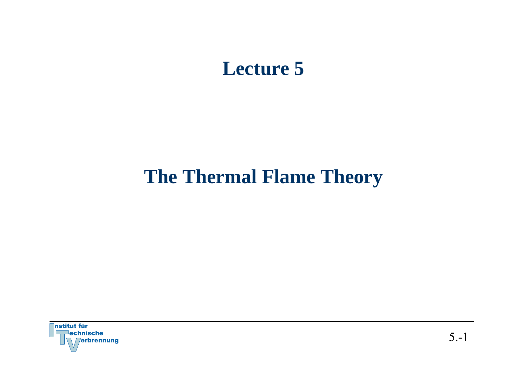## **Lecture 5**

# **The Thermal Flame Theory**

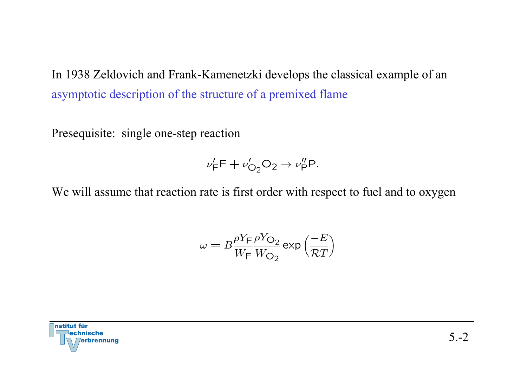In 1938 Zeldovich and Frank-Kamenetzki develops the classical example of an asymptotic description of the structure of a premixed flame

Presequisite: single one-step reaction

$$
\nu'_{\mathsf{F}}\mathsf{F} + \nu'_{\mathsf{O}_2}\mathsf{O}_2 \to \nu''_{\mathsf{P}}\mathsf{P}.
$$

We will assume that reaction rate is first order with respect to fuel and to oxygen

$$
\omega = B \frac{\rho Y_{\text{F}}}{W_{\text{F}}} \frac{\rho Y_{\text{O}_2}}{W_{\text{O}_2}} \exp\left(\frac{-E}{\mathcal{R}T}\right)
$$

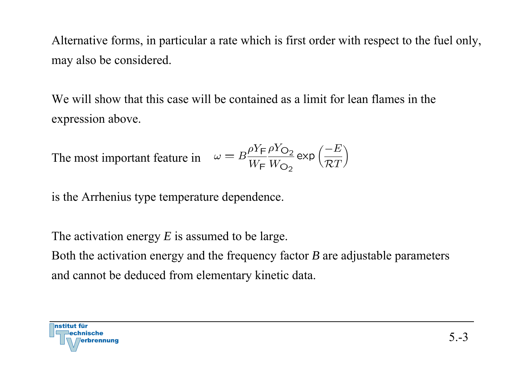Alternative forms, in particular a rate which is first order with respect to the fuel only, may also be considered.

We will show that this case will be contained as a limit for lean flames in the expression above.

The most important feature in 
$$
\omega = B \frac{\rho Y_F \rho Y_{O_2}}{W_F W_{O_2}} \exp\left(\frac{-E}{\mathcal{R}T}\right)
$$

is the Arrhenius type temperature dependence.

The activation energy *E* is assumed to be large. Both the activation energy and the frequency factor *B* are adjustable parameters and cannot be deduced from elementary kinetic data.

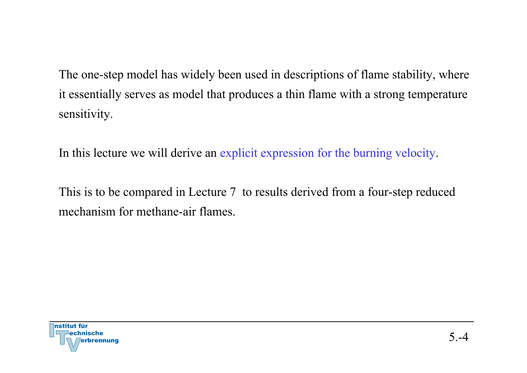The one-step model has widely been used in descriptions of flame stability, where it essentially serves as model that produces a thin flame with a strong temperature sensitivity.

In this lecture we will derive an explicit expression for the burning velocity.

This is to be compared in Lecture 7 to results derived from a four-step reduced mechanism for methane-air flames.

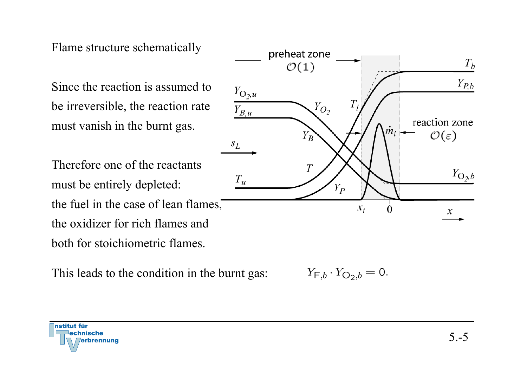## Flame structure schematically

Since the reaction is assumed to be irreversible, the reaction rate must vanish in the burnt gas.

Therefore one of the reactants must be entirely depleted: the fuel in the case of lean flames, the oxidizer for rich flames and both for stoichiometric flames.

This leads to the condition in the burnt gas:



 $Y_{F,b} \cdot Y_{O_2,b} = 0.$ 

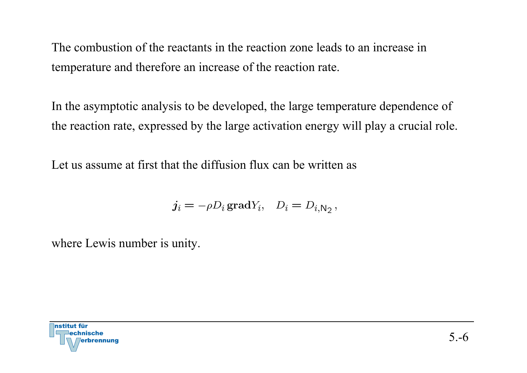The combustion of the reactants in the reaction zone leads to an increase in temperature and therefore an increase of the reaction rate.

In the asymptotic analysis to be developed, the large temperature dependence of the reaction rate, expressed by the large activation energy will play a crucial role.

Let us assume at first that the diffusion flux can be written as

$$
j_i = -\rho D_i \operatorname{grad} Y_i, \quad D_i = D_{i, \mathsf{N}_2},
$$

where Lewis number is unity.

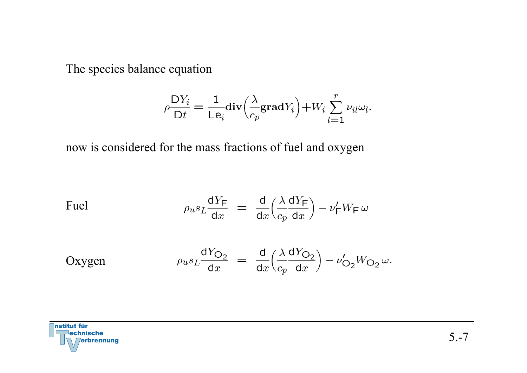The species balance equation

$$
\rho \frac{\mathsf{D} Y_i}{\mathsf{D} t} = \frac{1}{\mathsf{L} \mathsf{e}_i} \mathbf{div} \left( \frac{\lambda}{c_p} \mathbf{grad} Y_i \right) + W_i \sum_{l=1}^r \nu_{il} \omega_l.
$$

now is considered for the mass fractions of fuel and oxygen

$$
\text{Fuel} \qquad \qquad \rho_u s_L \frac{\text{d}Y_{\text{F}}}{\text{d}x} \ = \ \frac{\text{d}}{\text{d}x} \left( \frac{\lambda}{c_p} \frac{\text{d}Y_{\text{F}}}{\text{d}x} \right) - \nu_{\text{F}}' W_{\text{F}} \, \omega
$$

Oxygen 
$$
\rho_u s_L \frac{dY_{O_2}}{dx} = \frac{d}{dx} \left( \frac{\lambda}{c_p} \frac{dY_{O_2}}{dx} \right) - \nu'_{O_2} W_{O_2} \omega.
$$

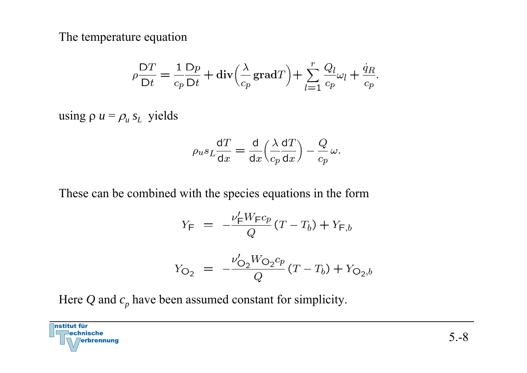The temperature equation

$$
\rho \frac{\mathsf{D}T}{\mathsf{D}t} = \frac{1}{c_p} \frac{\mathsf{D}p}{\mathsf{D}t} + \text{div} \Big( \frac{\lambda}{c_p} \text{grad} T \Big) + \sum_{l=1}^r \frac{Q_l}{c_p} \omega_l + \frac{\dot{q}_R}{c_p}.
$$

using  $\rho u = \rho_u s_L$  yields

$$
\rho_u s_L \frac{\mathrm{d}T}{\mathrm{d}x} = \frac{\mathrm{d}}{\mathrm{d}x} \left( \frac{\lambda}{c_p} \frac{\mathrm{d}T}{\mathrm{d}x} \right) - \frac{Q}{c_p} \omega.
$$

These can be combined with the species equations in the form

$$
Y_{\mathsf{F}} = -\frac{\nu_{\mathsf{F}}' W_{\mathsf{F}} c_p}{Q} (T - T_b) + Y_{\mathsf{F},b}
$$

$$
Y_{\mathcal{O}_2} = -\frac{\nu'_{\mathcal{O}_2} W_{\mathcal{O}_2} c_p}{Q} (T - T_b) + Y_{\mathcal{O}_2, b}
$$

Here  $Q$  and  $c_p$  have been assumed constant for simplicity.

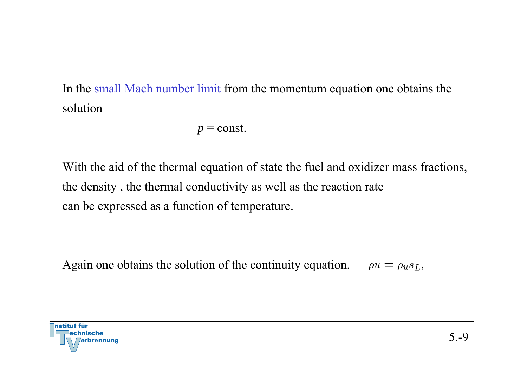In the small Mach number limit from the momentum equation one obtains the solution

 $p =$  const.

With the aid of the thermal equation of state the fuel and oxidizer mass fractions, the density , the thermal conductivity as well as the reaction rate can be expressed as a function of temperature.

Again one obtains the solution of the continuity equation.  $\rho u = \rho u s_L$ ,

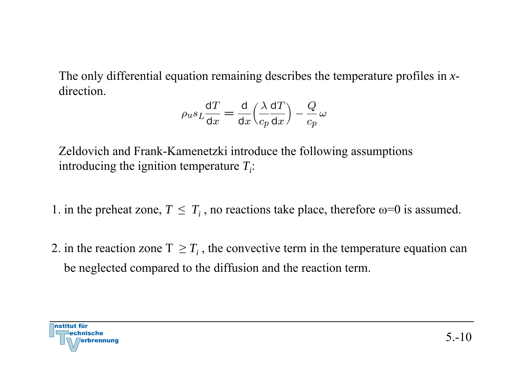The only differential equation remaining describes the temperature profiles in *x* direction.

$$
o_u s_L \frac{dT}{dx} = \frac{d}{dx} \left(\frac{\lambda}{c_p} \frac{dT}{dx}\right) - \frac{Q}{c_p} \omega
$$

Zeldovich and Frank-Kamenetzki introduce the following assumptions introducing the ignition temperature  $T_i$ :

1. in the preheat zone,  $T\,\leq\, T_{i}$  , no reactions take place, therefore  $\omega\!\!=\!\!0$  is assumed.

2. in the reaction zone  $T \geq T_i$ , the convective term in the temperature equation can be neglected compared to the diffusion and the reaction term.

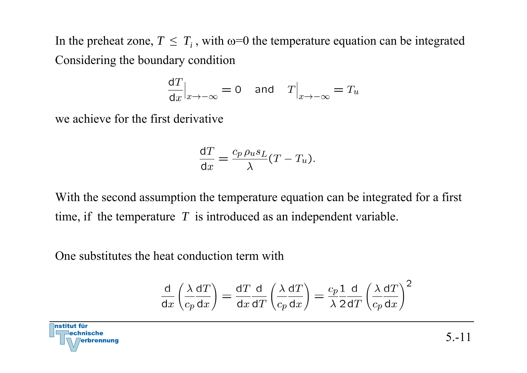In the preheat zone,  $T \leq T_i$ , with  $\omega = 0$  the temperature equation can be integrated Considering the boundary condition

$$
\frac{dT}{dx}\Big|_{x \to -\infty} = 0 \quad \text{and} \quad T\Big|_{x \to -\infty} = T_u
$$

we achieve for the first derivative

$$
\frac{\mathrm{d}T}{\mathrm{d}x} = \frac{c_p \,\rho_u s_L}{\lambda} (T - T_u).
$$

With the second assumption the temperature equation can be integrated for a first time, if the temperature *T* is introduced as an independent variable.

One substitutes the heat conduction term with

$$
\frac{d}{dx}\left(\frac{\lambda}{c_p}\frac{dT}{dx}\right) = \frac{dT}{dx}\frac{d}{dT}\left(\frac{\lambda}{c_p}\frac{dT}{dx}\right) = \frac{c_p}{\lambda}\frac{1}{2}\frac{d}{dT}\left(\frac{\lambda}{c_p}\frac{dT}{dx}\right)^2
$$

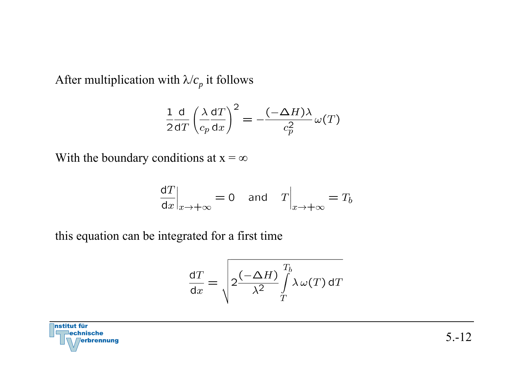After multiplication with  $\lambda/c_p$  it follows

$$
\frac{1}{2} \frac{d}{dT} \left(\frac{\lambda}{c_p} \frac{dT}{dx}\right)^2 = -\frac{(-\Delta H)\lambda}{c_p^2} \omega(T)
$$

With the boundary conditions at  $x = \infty$ 

$$
\left. \frac{\text{d}T}{\text{d}x} \right|_{x \to +\infty} = 0 \quad \text{and} \quad T \Big|_{x \to +\infty} = T_b
$$

this equation can be integrated for a first time

$$
\frac{dT}{dx} = \sqrt{2\frac{(-\Delta H)}{\lambda^2} \int_T^{T_b} \lambda \,\omega(T) \,dT}
$$

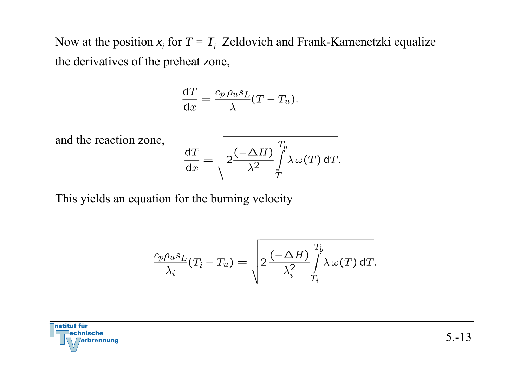Now at the position  $x_i$  for  $T = T_i$  Zeldovich and Frank-Kamenetzki equalize the derivatives of the preheat zone,

$$
\frac{\mathrm{d}T}{\mathrm{d}x} = \frac{c_p \,\rho_u s_L}{\lambda} (T - T_u).
$$

and the reaction zone,

$$
\frac{\mathrm{d}T}{\mathrm{d}x} = \sqrt{2\frac{(-\Delta H)}{\lambda^2}\int\limits_T^{T_b} \lambda \,\omega(T)\,\mathrm{d}T}.
$$

This yields an equation for the burning velocity

$$
\frac{c_p \rho_u s_L}{\lambda_i} (T_i - T_u) = \sqrt{2 \frac{(-\Delta H)}{\lambda_i^2} \int\limits_{T_i}^{T_b} \lambda \, \omega(T) \, \mathrm{d}T}.
$$

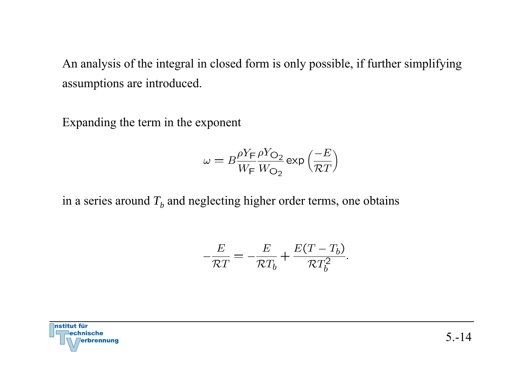An analysis of the integral in closed form is only possible, if further simplifying assumptions are introduced.

Expanding the term in the exponent

$$
\omega = B \frac{\rho Y_{\text{F}}}{W_{\text{F}}} \frac{\rho Y_{\text{O}_2}}{W_{\text{O}_2}} \exp\left(\frac{-E}{\mathcal{R}T}\right)
$$

in a series around  $T_b$  and neglecting higher order terms, one obtains

$$
-\frac{E}{\mathcal{R}T} = -\frac{E}{\mathcal{R}T_b} + \frac{E(T - T_b)}{\mathcal{R}T_b^2}.
$$

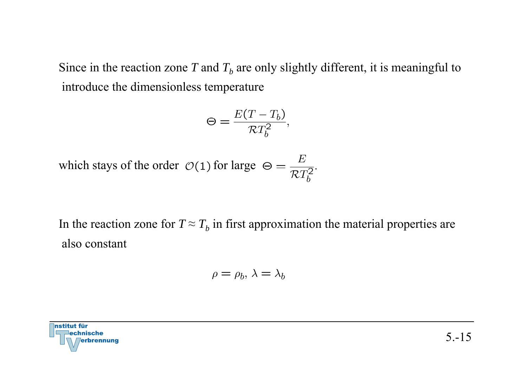Since in the reaction zone  $T$  and  $T_b$  are only slightly different, it is meaningful to introduce the dimensionless temperature

$$
\Theta = \frac{E(T - T_b)}{\mathcal{R}T_b^2},
$$

which stays of the order  $\mathcal{O}(1)$  for large  $\Theta = \frac{E}{\mathcal{R}T_h^2}$ .

In the reaction zone for  $T \approx T_b$  in first approximation the material properties are also constant

$$
\rho=\rho_b,\,\lambda=\lambda_b
$$

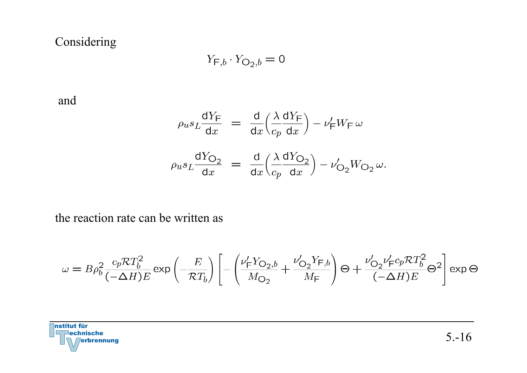## Considering

$$
Y_{\mathsf{F},b} \cdot Y_{\mathsf{O}_2,b} = 0
$$

and

$$
\rho_u s_L \frac{dY_F}{dx} = \frac{d}{dx} \left( \frac{\lambda}{c_p} \frac{dY_F}{dx} \right) - \nu'_F W_F \omega
$$
\n
$$
\rho_u s_L \frac{dY_{O_2}}{dx} = \frac{d}{dx} \left( \frac{\lambda}{c_p} \frac{dY_{O_2}}{dx} \right) - \nu'_{O_2} W_{O_2} \omega.
$$

the reaction rate can be written as

$$
\omega = B\rho_b^2 \frac{c_p \mathcal{R} T_b^2}{(-\Delta H)E} \exp\left(-\frac{E}{\mathcal{R} T_b}\right) \left[ -\left(\frac{\nu_{\text{F}}^{\prime} Y_{\text{O}_2,b}}{M_{\text{O}_2}} + \frac{\nu_{\text{O}_2}^{\prime} Y_{\text{F},b}}{M_{\text{F}}}\right) \Theta + \frac{\nu_{\text{O}_2}^{\prime} \nu_{\text{F}}^{\prime} c_p \mathcal{R} T_b^2}{(-\Delta H)E} \Theta^2 \right] \exp \Theta
$$

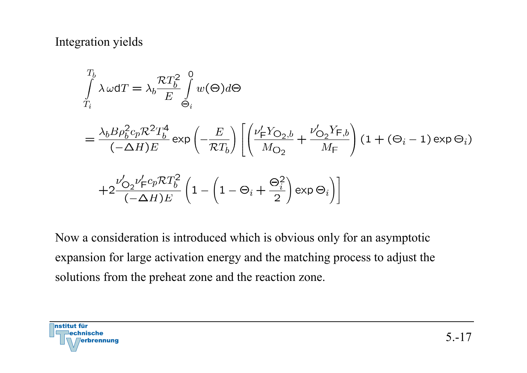## Integration yields

$$
\int_{T_i}^{T_b} \lambda \omega dT = \lambda_b \frac{\mathcal{R}T_b^2}{E} \int_{\Theta_i}^{0} w(\Theta) d\Theta
$$
\n
$$
= \frac{\lambda_b B \rho_b^2 c_p \mathcal{R}^2 T_b^4}{(-\Delta H)E} \exp\left(-\frac{E}{\mathcal{R}T_b}\right) \left[ \left(\frac{\nu_{\mathsf{F}}^{\prime} Y_{\mathsf{O}_2, b}}{M_{\mathsf{O}_2}} + \frac{\nu_{\mathsf{O}_2}^{\prime} Y_{\mathsf{F}, b}}{M_{\mathsf{F}}}\right) (1 + (\Theta_i - 1) \exp \Theta_i) \right]
$$
\n
$$
+ 2 \frac{\nu_{\mathsf{O}_2}^{\prime} \nu_{\mathsf{F}}^{\prime} c_p \mathcal{R} T_b^2}{(-\Delta H)E} \left(1 - \left(1 - \Theta_i + \frac{\Theta_i^2}{2}\right) \exp \Theta_i\right) \right]
$$

Now a consideration is introduced which is obvious only for an asymptotic expansion for large activation energy and the matching process to adjust the solutions from the preheat zone and the reaction zone.

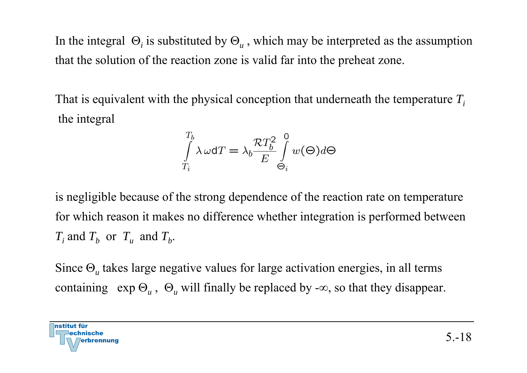In the integral Θ*i* is substituted by Θ*<sup>u</sup>* , which may be interpreted as the assumption that the solution of the reaction zone is valid far into the preheat zone.

That is equivalent with the physical conception that underneath the temperature *Ti*the integral

$$
\int\limits_{T_i}^{T_b}\lambda\,\omega\mathrm{d}T=\lambda_b\frac{\mathcal{R}T_b^2}{E}\int\limits_{\Theta_i}^{0}w(\Theta)d\Theta
$$

is negligible because of the strong dependence of the reaction rate on temperature for which reason it makes no difference whether integration is performed between  $T_i$  and  $T_b$  or  $T_u$  and  $T_b$ .

Since Θ*u* takes large negative values for large activation energies, in all terms containing exp Θ*u* , Θ*<sup>u</sup>* will finally be replaced by -<sup>∞</sup>, so that they disappear.

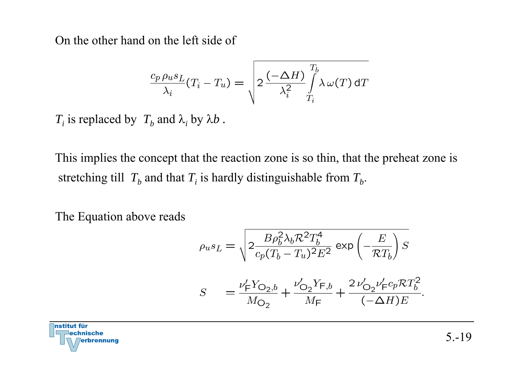On the other hand on the left side of

$$
\frac{c_p \rho_u s_L}{\lambda_i} (T_i - T_u) = \sqrt{2 \frac{(-\Delta H)}{\lambda_i^2} \int\limits_{T_i}^{T_b} \lambda \omega(T) dT}
$$

 $T_i$  is replaced by  $\ T_b$  and  $\lambda_i$  by  $\lambda b$  .

This implies the concept that the reaction zone is so thin, that the preheat zone is stretching till  $\ T_b$  and that  $T_i$  is hardly distinguishable from  $T_b$ .

The Equation above reads

$$
\rho_u s_L = \sqrt{2 \frac{B \rho_b^2 \lambda_b \mathcal{R}^2 T_b^4}{c_p (T_b - T_u)^2 E^2}} \exp\left(-\frac{E}{\mathcal{R} T_b}\right) S
$$
  

$$
S = \frac{\nu_{\text{F}}^{\prime} Y_{\text{O}_2, b}}{M_{\text{O}_2}} + \frac{\nu_{\text{O}_2}^{\prime} Y_{\text{F}, b}}{M_{\text{F}}} + \frac{2 \nu_{\text{O}_2}^{\prime} \nu_{\text{F}}^{\prime} c_p \mathcal{R} T_b^2}{(-\Delta H) E}.
$$

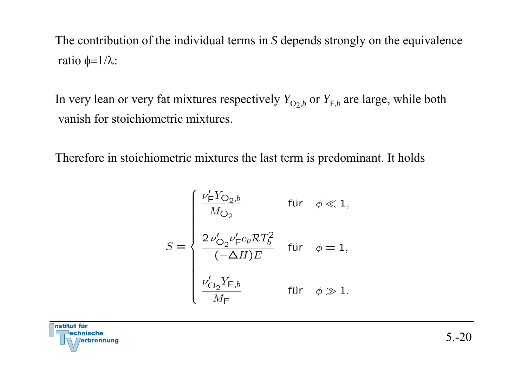The contribution of the individual terms in *S* depends strongly on the equivalence ratio φ=1 / λ:

In very lean or very fat mixtures respectively  $Y_{\text{O}_2,b}$  or  $Y_{\text{F},b}$  are large, while both vanish for stoichiometric mixtures.

Therefore in stoichiometric mixtures the last term is predominant. It holds

$$
S = \begin{cases} \frac{\nu_{\text{F}}' Y_{\text{O}_2, b}}{M_{\text{O}_2}} & \text{für } \phi \ll 1, \\ \\ \frac{2 \nu_{\text{O}_2}' \nu_{\text{F}}' c_p \mathcal{R} T_b^2}{(-\Delta H) E} & \text{für } \phi = 1, \\ \\ \frac{\nu_{\text{O}_2}' Y_{\text{F}, b}}{M_{\text{F}}} & \text{für } \phi \gg 1. \end{cases}
$$

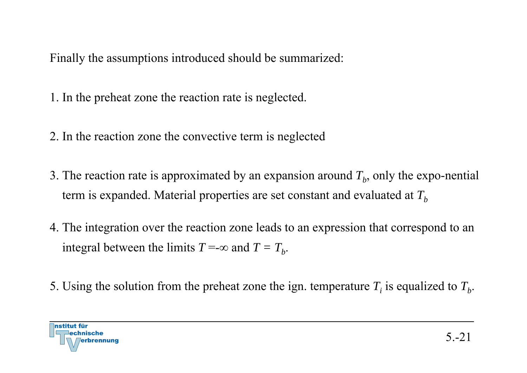Finally the assumptions introduced should be summarized:

1. In the preheat zone the reaction rate is neglected.

- 2. In the reaction zone the convective term is neglected
- 3. The reaction rate is approximated by an expansion around  $T_b$ , only the expo-nential term is expanded. Material properties are set constant and evaluated at  $T_b$
- 4. The integration over the reaction zone leads to an expression that correspond to an integral between the limits  $T = \infty$  and  $T = T_b$ .
- 5. Using the solution from the preheat zone the ign. temperature  $T_i$  is equalized to  $T_b$ .

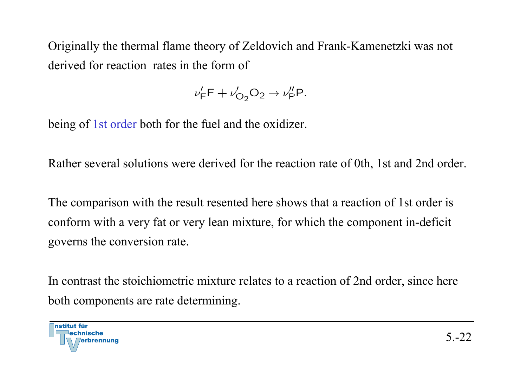Originally the thermal flame theory of Zeldovich and Frank-Kamenetzki was not derived for reaction rates in the form of

$$
\nu'_{\mathsf{F}}\mathsf{F} + \nu'_{\mathsf{O}_2}\mathsf{O}_2 \to \nu''_{\mathsf{P}}\mathsf{P}.
$$

being of 1st order both for the fuel and the oxidizer.

Rather several solutions were derived for the reaction rate of 0th, 1st and 2nd order.

The comparison with the result resented here shows that a reaction of 1st order is conform with a very fat or very lean mixture, for which the component in-deficit governs the conversion rate.

In contrast the stoichiometric mixture relates to a reaction of 2nd order, since here both components are rate determining.

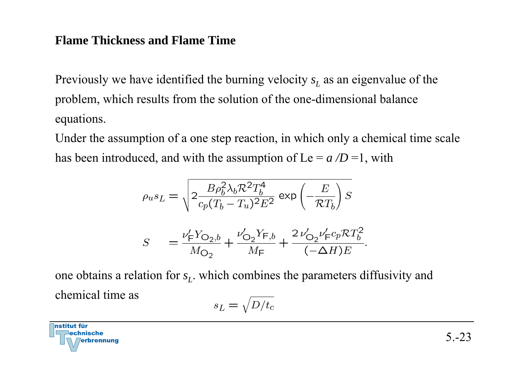## **Flame Thickness and Flame Time**

Previously we have identified the burning velocity *s L* as an eigenvalue of the problem, which results from the solution of the one-dimensional balance equations.

Under the assumption of a one step reaction, in which only a chemical time scale has been introduced, and with the assumption of  $Le = a/D = 1$ , with

$$
\rho_u s_L = \sqrt{2 \frac{B \rho_b^2 \lambda_b R^2 T_b^4}{c_p (T_b - T_u)^2 E^2}} \exp\left(-\frac{E}{\mathcal{R} T_b}\right) S
$$
  

$$
S = \frac{\nu_{\text{F}}^{\prime} Y_{\text{O}_2, b}}{M_{\text{O}_2}} + \frac{\nu_{\text{O}_2}^{\prime} Y_{\text{F}, b}}{M_{\text{F}}} + \frac{2 \nu_{\text{O}_2}^{\prime} \nu_{\text{F}}^{\prime} c_p \mathcal{R} T_b^2}{(-\Delta H) E}
$$

one obtains a relation for *s <sup>L</sup>*. which combines the parameters diffusivity and chemical time as

$$
s_L = \sqrt{D/t_c}
$$

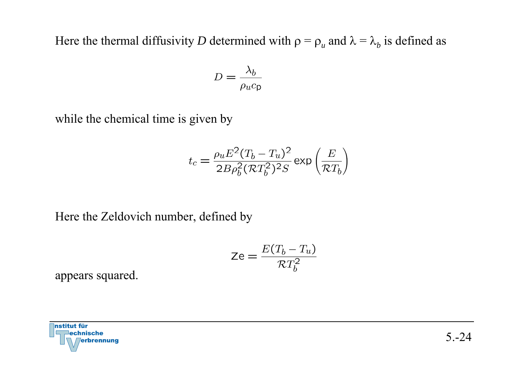Here the thermal diffusivity D determined with  $\rho = \rho_u$  and  $\lambda = \lambda_b$  is defined as

$$
D = \frac{\lambda_b}{\rho_u c_{\mathsf{p}}}
$$

while the chemical time is given by

$$
t_c = \frac{\rho_u E^2 (T_b - T_u)^2}{2B \rho_b^2 (RT_b^2)^2 S} \exp\left(\frac{E}{\mathcal{R}T_b}\right)
$$

Here the Zeldovich number, defined by

$$
\mathsf{Ze} = \frac{E(T_b - T_u)}{\mathcal{R}T_b^2}
$$

appears squared.

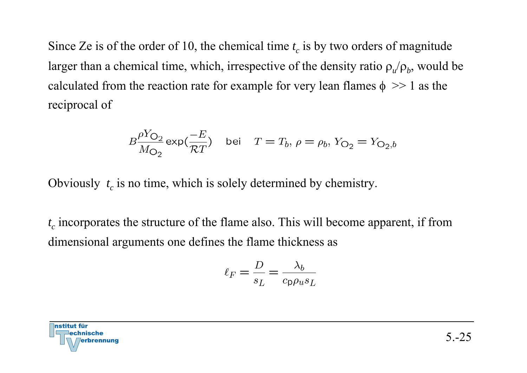Since Ze is of the order of 10, the chemical time  $t_c$  is by two orders of magnitude larger than a chemical time, which, irrespective of the density ratio  $\rho_u/\rho_b$ , would be calculated from the reaction rate for example for very lean flames  $\phi \gg 1$  as the reciprocal of

$$
B\frac{\rho Y_{\text{O}_2}}{M_{\text{O}_2}} \exp(\frac{-E}{\mathcal{R}T}) \quad \text{bei} \quad T = T_b, \, \rho = \rho_b, \, Y_{\text{O}_2} = Y_{\text{O}_2, b}
$$

Obviously  $t_c$  is no time, which is solely determined by chemistry.

*t c* incorporates the structure of the flame also. This will become apparent, if from dimensional arguments one defines the flame thickness as

$$
\ell_F = \frac{D}{s_L} = \frac{\lambda_b}{c_{\mathsf{p}} \rho_u s_L}
$$

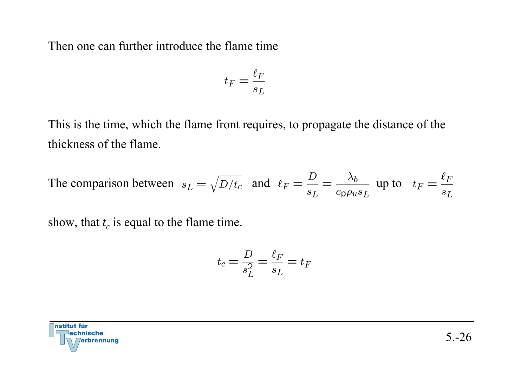Then one can further introduce the flame time

$$
t_F = \frac{\ell_F}{s_L}
$$

This is the time, which the flame front requires, to propagate the distance of the thickness of the flame.

The comparison between  $s_L = \sqrt{D/t_c}$  and  $\ell_F = \frac{D}{s_L} = \frac{\lambda_b}{c_D \rho_u s_L}$  up to  $t_F = \frac{\ell_F}{s_L}$ 

show, that  $t_c$  is equal to the flame time.

$$
t_c = \frac{D}{s_L^2} = \frac{\ell_F}{s_L} = t_F
$$

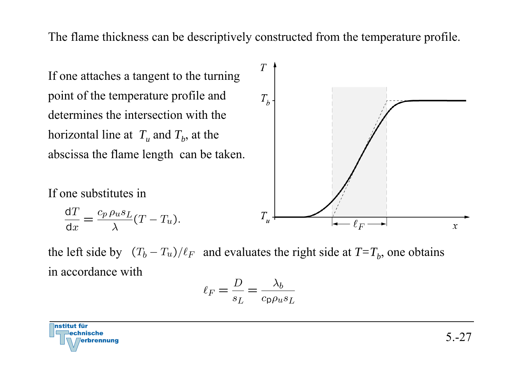The flame thickness can be descriptively constructed from the temperature profile.

If one attaches a tangent to the turning point of the temperature profile and determines the intersection with the horizontal line at  $T_u$  and  $T_b$ , at the abscissa the flame length can be taken.  $T$  $T_{h}$  $T_{u}$  $\ell_F$  $\boldsymbol{x}$ 

If one substitutes in

$$
\frac{\mathrm{d}T}{\mathrm{d}x} = \frac{c_p \,\rho_u s_L}{\lambda} (T - T_u).
$$

the left side by  $(T_b - T_u)/\ell_F$  and evaluates the right side at  $T = T_b$ , one obtains in accordance with

$$
\ell_F = \frac{D}{s_L} = \frac{\lambda_b}{c_{\text{p}} \rho_u s_L}
$$

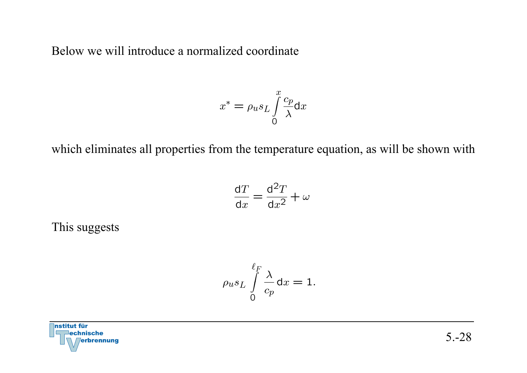Below we will introduce a normalized coordinate

$$
x^* = \rho_u s_L \int\limits_0^x \frac{c_p}{\lambda} \mathrm{d}x
$$

which eliminates all properties from the temperature equation, as will be shown with

$$
\frac{\mathrm{d}T}{\mathrm{d}x} = \frac{\mathrm{d}^2T}{\mathrm{d}x^2} + \omega
$$

This suggests

$$
\rho_u s_L \int\limits_0^{\ell_F} \frac{\lambda}{c_p} \mathrm{d}x = 1.
$$